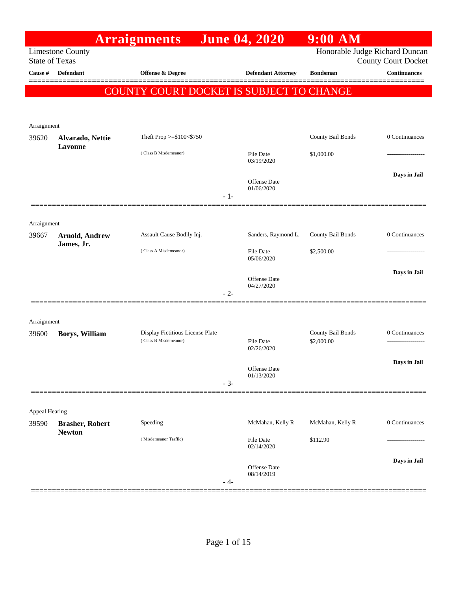|                       |                                         | <b>Arraignments</b>                      | <b>June 04, 2020</b>              | $9:00$ AM         |                                                              |
|-----------------------|-----------------------------------------|------------------------------------------|-----------------------------------|-------------------|--------------------------------------------------------------|
| <b>State of Texas</b> | <b>Limestone County</b>                 |                                          |                                   |                   | Honorable Judge Richard Duncan<br><b>County Court Docket</b> |
| Cause #               | <b>Defendant</b>                        | <b>Offense &amp; Degree</b>              | <b>Defendant Attorney</b>         | <b>Bondsman</b>   | Continuances<br>======                                       |
|                       |                                         | COUNTY COURT DOCKET IS SUBJECT TO CHANGE |                                   |                   |                                                              |
|                       |                                         |                                          |                                   |                   |                                                              |
|                       |                                         |                                          |                                   |                   |                                                              |
| Arraignment<br>39620  | Alvarado, Nettie                        | Theft Prop >=\$100<\$750                 |                                   | County Bail Bonds | 0 Continuances                                               |
|                       | Lavonne                                 | (Class B Misdemeanor)                    | <b>File Date</b>                  | \$1,000.00        |                                                              |
|                       |                                         |                                          | 03/19/2020                        |                   |                                                              |
|                       |                                         |                                          | <b>Offense Date</b>               |                   | Days in Jail                                                 |
|                       |                                         | $-1-$                                    | 01/06/2020                        |                   |                                                              |
|                       |                                         |                                          |                                   |                   |                                                              |
| Arraignment           |                                         |                                          |                                   |                   |                                                              |
| 39667                 | <b>Arnold, Andrew</b>                   | Assault Cause Bodily Inj.                | Sanders, Raymond L.               | County Bail Bonds | 0 Continuances                                               |
|                       | James, Jr.                              | (Class A Misdemeanor)                    | <b>File Date</b>                  | \$2,500.00        |                                                              |
|                       |                                         |                                          | 05/06/2020                        |                   | Days in Jail                                                 |
|                       |                                         |                                          | <b>Offense Date</b><br>04/27/2020 |                   |                                                              |
|                       |                                         | $-2-$                                    |                                   |                   |                                                              |
|                       |                                         |                                          |                                   |                   |                                                              |
| Arraignment           |                                         | Display Fictitious License Plate         |                                   | County Bail Bonds | 0 Continuances                                               |
| 39600                 | Borys, William                          | (Class B Misdemeanor)                    | <b>File Date</b>                  | \$2,000.00        | .                                                            |
|                       |                                         |                                          | 02/26/2020                        |                   | Days in Jail                                                 |
|                       |                                         |                                          | Offense Date<br>01/13/2020        |                   |                                                              |
|                       |                                         |                                          | $-3-$                             |                   |                                                              |
|                       |                                         |                                          |                                   |                   |                                                              |
| Appeal Hearing        |                                         |                                          |                                   |                   |                                                              |
| 39590                 | <b>Brasher, Robert</b><br><b>Newton</b> | Speeding                                 | McMahan, Kelly R                  | McMahan, Kelly R  | 0 Continuances                                               |
|                       |                                         | (Misdemeanor Traffic)                    | <b>File Date</b><br>02/14/2020    | \$112.90          |                                                              |
|                       |                                         |                                          |                                   |                   | Days in Jail                                                 |
|                       |                                         |                                          | <b>Offense Date</b><br>08/14/2019 |                   |                                                              |
|                       |                                         |                                          | - 4-                              |                   |                                                              |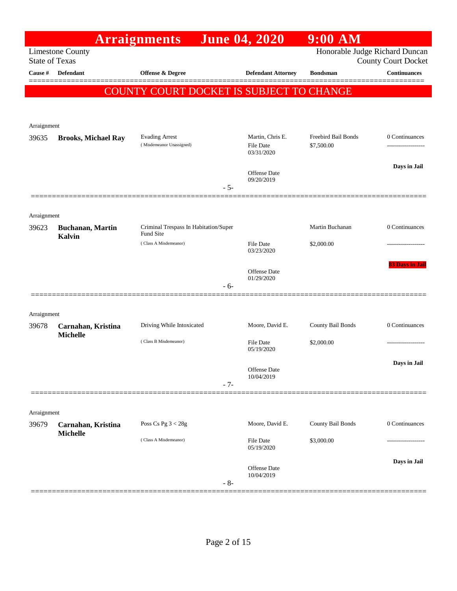|                       |                                       | <b>Arraignments</b>                      |       | <b>June 04, 2020</b>              | $9:00$ AM           |                                                              |
|-----------------------|---------------------------------------|------------------------------------------|-------|-----------------------------------|---------------------|--------------------------------------------------------------|
| <b>State of Texas</b> | <b>Limestone County</b>               |                                          |       |                                   |                     | Honorable Judge Richard Duncan<br><b>County Court Docket</b> |
| Cause #               | <b>Defendant</b>                      | <b>Offense &amp; Degree</b>              |       | <b>Defendant Attorney</b>         | <b>Bondsman</b>     | Continuances                                                 |
|                       |                                       | COUNTY COURT DOCKET IS SUBJECT TO CHANGE |       |                                   |                     |                                                              |
|                       |                                       |                                          |       |                                   |                     |                                                              |
|                       |                                       |                                          |       |                                   |                     |                                                              |
| Arraignment<br>39635  | <b>Brooks, Michael Ray</b>            | <b>Evading Arrest</b>                    |       | Martin, Chris E.                  | Freebird Bail Bonds | 0 Continuances                                               |
|                       |                                       | (Misdemeanor Unassigned)                 |       | <b>File Date</b><br>03/31/2020    | \$7,500.00          | ------------------                                           |
|                       |                                       |                                          |       |                                   |                     | Days in Jail                                                 |
|                       |                                       |                                          |       | <b>Offense Date</b><br>09/20/2019 |                     |                                                              |
|                       |                                       |                                          | $-5-$ |                                   |                     |                                                              |
|                       |                                       |                                          |       |                                   |                     |                                                              |
| Arraignment<br>39623  | <b>Buchanan</b> , Martin              | Criminal Trespass In Habitation/Super    |       |                                   | Martin Buchanan     | 0 Continuances                                               |
|                       | <b>Kalvin</b>                         | Fund Site                                |       |                                   |                     |                                                              |
|                       |                                       | (Class A Misdemeanor)                    |       | <b>File Date</b><br>03/23/2020    | \$2,000.00          |                                                              |
|                       |                                       |                                          |       | <b>Offense</b> Date               |                     | 83 Days in Jail                                              |
|                       |                                       |                                          | $-6-$ | 01/29/2020                        |                     |                                                              |
|                       |                                       |                                          |       |                                   |                     |                                                              |
| Arraignment           |                                       |                                          |       |                                   |                     |                                                              |
| 39678                 | Carnahan, Kristina                    | Driving While Intoxicated                |       | Moore, David E.                   | County Bail Bonds   | 0 Continuances                                               |
|                       | <b>Michelle</b>                       | (Class B Misdemeanor)                    |       | <b>File Date</b>                  | \$2,000.00          |                                                              |
|                       |                                       |                                          |       | 05/19/2020                        |                     |                                                              |
|                       |                                       |                                          |       | Offense Date<br>10/04/2019        |                     | Days in Jail                                                 |
|                       |                                       |                                          | $-7-$ |                                   |                     |                                                              |
|                       |                                       |                                          |       |                                   |                     |                                                              |
| Arraignment           |                                       |                                          |       |                                   |                     |                                                              |
| 39679                 | Carnahan, Kristina<br><b>Michelle</b> | Poss Cs Pg $3 < 28g$                     |       | Moore, David E.                   | County Bail Bonds   | 0 Continuances                                               |
|                       |                                       | (Class A Misdemeanor)                    |       | <b>File Date</b><br>05/19/2020    | \$3,000.00          |                                                              |
|                       |                                       |                                          |       |                                   |                     | Days in Jail                                                 |
|                       |                                       |                                          |       | <b>Offense</b> Date<br>10/04/2019 |                     |                                                              |
|                       |                                       |                                          | $-8-$ |                                   |                     |                                                              |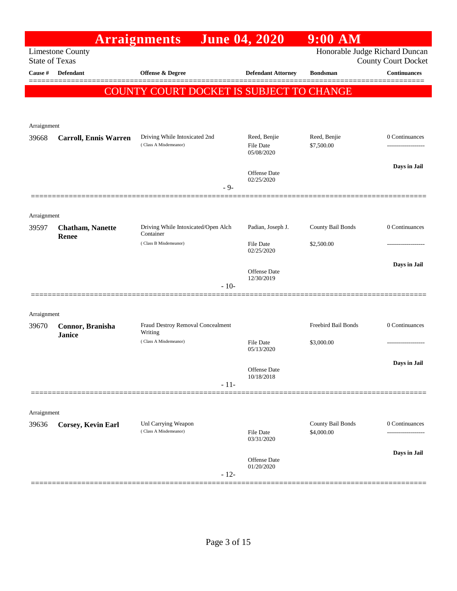|                       |                                         | <b>Arraignments</b>                                    | <b>June 04, 2020</b>                    | $9:00$ AM                       |                            |
|-----------------------|-----------------------------------------|--------------------------------------------------------|-----------------------------------------|---------------------------------|----------------------------|
| <b>State of Texas</b> | <b>Limestone County</b>                 |                                                        |                                         | Honorable Judge Richard Duncan  | <b>County Court Docket</b> |
| Cause #               | Defendant                               | <b>Offense &amp; Degree</b>                            | <b>Defendant Attorney</b>               | <b>Bondsman</b>                 | <b>Continuances</b>        |
|                       |                                         | COUNTY COURT DOCKET IS SUBJECT TO CHANGE               |                                         |                                 |                            |
|                       |                                         |                                                        |                                         |                                 |                            |
| Arraignment           |                                         |                                                        |                                         |                                 |                            |
| 39668                 | <b>Carroll, Ennis Warren</b>            | Driving While Intoxicated 2nd<br>(Class A Misdemeanor) | Reed, Benjie<br>File Date<br>05/08/2020 | Reed, Benjie<br>\$7,500.00      | 0 Continuances             |
|                       |                                         |                                                        | <b>Offense</b> Date<br>02/25/2020       |                                 | Days in Jail               |
|                       |                                         | $-9-$                                                  |                                         |                                 |                            |
| Arraignment           |                                         |                                                        |                                         |                                 |                            |
| 39597                 | <b>Chatham, Nanette</b><br><b>Renee</b> | Driving While Intoxicated/Open Alch<br>Container       | Padian, Joseph J.                       | County Bail Bonds               | 0 Continuances             |
|                       |                                         | (Class B Misdemeanor)                                  | File Date<br>02/25/2020                 | \$2,500.00                      |                            |
|                       |                                         | $-10-$                                                 | Offense Date<br>12/30/2019              |                                 | Days in Jail               |
|                       |                                         |                                                        |                                         |                                 |                            |
| Arraignment           |                                         |                                                        |                                         |                                 |                            |
| 39670                 | Connor, Branisha<br><b>Janice</b>       | Fraud Destroy Removal Concealment<br>Writing           |                                         | Freebird Bail Bonds             | 0 Continuances             |
|                       |                                         | (Class A Misdemeanor)                                  | <b>File Date</b><br>05/13/2020          | \$3,000.00                      |                            |
|                       |                                         |                                                        | Offense Date<br>10/18/2018              |                                 | Days in Jail               |
|                       |                                         | $-11-$                                                 |                                         |                                 |                            |
| Arraignment           |                                         |                                                        |                                         |                                 |                            |
| 39636                 | <b>Corsey, Kevin Earl</b>               | Unl Carrying Weapon<br>(Class A Misdemeanor)           | File Date<br>03/31/2020                 | County Bail Bonds<br>\$4,000.00 | 0 Continuances             |
|                       |                                         |                                                        | <b>Offense</b> Date<br>01/20/2020       |                                 | Days in Jail               |
|                       |                                         | $-12-$                                                 |                                         |                                 |                            |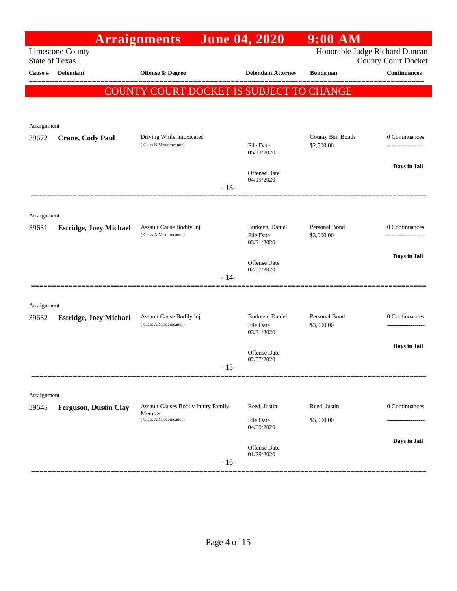|                       |                               | <b>Arraignments</b>                                | <b>June 04, 2020</b>              | $9:00$ AM                      |                                      |
|-----------------------|-------------------------------|----------------------------------------------------|-----------------------------------|--------------------------------|--------------------------------------|
| <b>State of Texas</b> | <b>Limestone County</b>       |                                                    |                                   | Honorable Judge Richard Duncan | <b>County Court Docket</b>           |
| Cause #               | <b>Defendant</b>              | Offense & Degree                                   | <b>Defendant Attorney</b>         | <b>Bondsman</b>                | <b>Continuances</b>                  |
|                       |                               | COUNTY COURT DOCKET IS SUBJECT TO CHANGE           |                                   |                                |                                      |
|                       |                               |                                                    |                                   |                                |                                      |
| Arraignment           |                               |                                                    |                                   |                                |                                      |
| 39672                 | <b>Crane, Cody Paul</b>       | Driving While Intoxicated                          |                                   | County Bail Bonds              | 0 Continuances                       |
|                       |                               | (Class B Misdemeanor)                              | File Date<br>05/13/2020           | \$2,500.00                     |                                      |
|                       |                               |                                                    |                                   |                                | Days in Jail                         |
|                       |                               |                                                    | <b>Offense Date</b><br>04/19/2020 |                                |                                      |
|                       |                               | $-13-$                                             |                                   |                                |                                      |
| Arraignment           |                               |                                                    |                                   |                                |                                      |
| 39631                 | <b>Estridge, Joey Michael</b> | Assault Cause Bodily Inj.<br>(Class A Misdemeanor) | Burkeen, Daniel                   | Personal Bond                  | 0 Continuances                       |
|                       |                               |                                                    | File Date<br>03/31/2020           | \$3,000.00                     |                                      |
|                       |                               |                                                    | <b>Offense Date</b>               |                                | Days in Jail                         |
|                       |                               | $-14-$                                             | 02/07/2020                        |                                |                                      |
|                       |                               |                                                    |                                   |                                |                                      |
| Arraignment           |                               |                                                    |                                   |                                |                                      |
| 39632                 | <b>Estridge, Joey Michael</b> | Assault Cause Bodily Inj.<br>(Class A Misdemeanor) | Burkeen, Daniel<br>File Date      | Personal Bond<br>\$3,000.00    | 0 Continuances<br>------------------ |
|                       |                               |                                                    | 03/31/2020                        |                                |                                      |
|                       |                               |                                                    | Offense Date                      |                                | Days in Jail                         |
|                       |                               | $-15-$                                             | 02/07/2020                        |                                |                                      |
|                       |                               |                                                    |                                   |                                |                                      |
| Arraignment           |                               |                                                    |                                   |                                |                                      |
| 39645                 | <b>Ferguson, Dustin Clay</b>  | Assault Causes Bodily Injury Family<br>Member      | Reed, Justin                      | Reed, Justin                   | 0 Continuances                       |
|                       |                               | (Class A Misdemeanor)                              | File Date<br>04/09/2020           | \$3,000.00                     |                                      |
|                       |                               |                                                    |                                   |                                | Days in Jail                         |
|                       |                               |                                                    | <b>Offense Date</b><br>01/29/2020 |                                |                                      |
|                       |                               | $-16-$                                             |                                   |                                |                                      |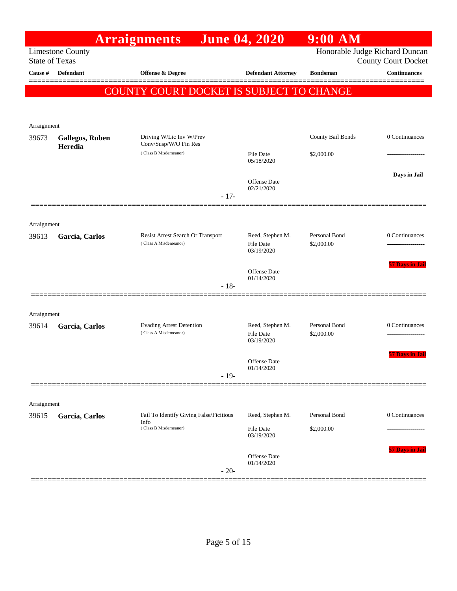|                       |                         | <b>Arraignments</b>                             |        | <b>June 04, 2020</b>       | $9:00$ AM         |                                                              |
|-----------------------|-------------------------|-------------------------------------------------|--------|----------------------------|-------------------|--------------------------------------------------------------|
| <b>State of Texas</b> | <b>Limestone County</b> |                                                 |        |                            |                   | Honorable Judge Richard Duncan<br><b>County Court Docket</b> |
| Cause #               | <b>Defendant</b>        | Offense & Degree                                |        | <b>Defendant Attorney</b>  | <b>Bondsman</b>   | Continuances                                                 |
|                       |                         | <b>COUNTY COURT DOCKET IS SUBJECT TO CHANGE</b> |        |                            |                   |                                                              |
|                       |                         |                                                 |        |                            |                   |                                                              |
| Arraignment           |                         |                                                 |        |                            |                   |                                                              |
| 39673                 | <b>Gallegos, Ruben</b>  | Driving W/Lic Inv W/Prev                        |        |                            | County Bail Bonds | 0 Continuances                                               |
|                       | Heredia                 | Conv/Susp/W/O Fin Res<br>(Class B Misdemeanor)  |        | File Date<br>05/18/2020    | \$2,000.00        |                                                              |
|                       |                         |                                                 |        | Offense Date<br>02/21/2020 |                   | Days in Jail                                                 |
|                       |                         |                                                 | $-17-$ |                            |                   |                                                              |
|                       |                         |                                                 |        |                            |                   |                                                              |
| Arraignment<br>39613  | Garcia, Carlos          | Resist Arrest Search Or Transport               |        | Reed, Stephen M.           | Personal Bond     | 0 Continuances                                               |
|                       |                         | (Class A Misdemeanor)                           |        | File Date<br>03/19/2020    | \$2,000.00        |                                                              |
|                       |                         |                                                 |        | <b>Offense Date</b>        |                   | <b>57 Days in Jail</b>                                       |
|                       |                         |                                                 | $-18-$ | 01/14/2020                 |                   |                                                              |
|                       |                         |                                                 |        |                            |                   |                                                              |
| Arraignment<br>39614  | Garcia, Carlos          | <b>Evading Arrest Detention</b>                 |        | Reed, Stephen M.           | Personal Bond     | 0 Continuances                                               |
|                       |                         | (Class A Misdemeanor)                           |        | File Date<br>03/19/2020    | \$2,000.00        |                                                              |
|                       |                         |                                                 |        | Offense Date<br>01/14/2020 |                   | <b>57 Days in Jail</b>                                       |
|                       |                         |                                                 | $-19-$ |                            |                   |                                                              |
|                       |                         |                                                 |        |                            |                   |                                                              |
| Arraignment<br>39615  | Garcia, Carlos          | Fail To Identify Giving False/Ficitious         |        | Reed, Stephen M.           | Personal Bond     | 0 Continuances                                               |
|                       |                         | Info<br>(Class B Misdemeanor)                   |        | File Date                  | \$2,000.00        |                                                              |
|                       |                         |                                                 |        | 03/19/2020                 |                   |                                                              |
|                       |                         |                                                 |        | Offense Date<br>01/14/2020 |                   | 57 Days in Jail                                              |
|                       |                         |                                                 | $-20-$ |                            |                   |                                                              |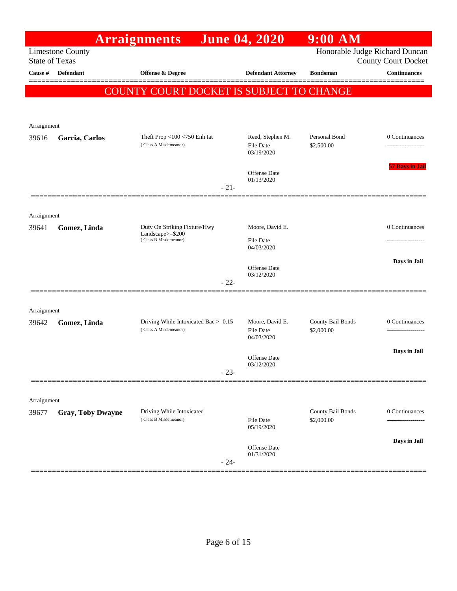|                       |                          | <b>Arraignments</b>                                           | <b>June 04, 2020</b>                              | $9:00$ AM                       |                            |
|-----------------------|--------------------------|---------------------------------------------------------------|---------------------------------------------------|---------------------------------|----------------------------|
| <b>State of Texas</b> | <b>Limestone County</b>  |                                                               |                                                   | Honorable Judge Richard Duncan  | <b>County Court Docket</b> |
| Cause #               | <b>Defendant</b>         | <b>Offense &amp; Degree</b>                                   | <b>Defendant Attorney</b>                         | <b>Bondsman</b>                 | <b>Continuances</b>        |
|                       |                          |                                                               |                                                   |                                 |                            |
|                       |                          | COUNTY COURT DOCKET IS SUBJECT TO CHANGE                      |                                                   |                                 |                            |
|                       |                          |                                                               |                                                   |                                 |                            |
| Arraignment           |                          |                                                               |                                                   |                                 |                            |
| 39616                 | Garcia, Carlos           | Theft Prop $<$ 100 $<$ 750 Enh Iat<br>(Class A Misdemeanor)   | Reed, Stephen M.<br>File Date<br>03/19/2020       | Personal Bond<br>\$2,500.00     | 0 Continuances             |
|                       |                          | $-21-$                                                        | Offense Date<br>01/13/2020                        |                                 | <b>57 Days in Jail</b>     |
|                       |                          |                                                               |                                                   |                                 |                            |
| Arraignment           |                          |                                                               |                                                   |                                 |                            |
| 39641                 | Gomez, Linda             | Duty On Striking Fixture/Hwy                                  | Moore, David E.                                   |                                 | 0 Continuances             |
|                       |                          | Landscape $>=$ \$200<br>(Class B Misdemeanor)                 | <b>File Date</b><br>04/03/2020                    |                                 |                            |
|                       |                          |                                                               |                                                   |                                 | Days in Jail               |
|                       |                          |                                                               | Offense Date<br>03/12/2020                        |                                 |                            |
|                       |                          | $-22-$                                                        |                                                   |                                 |                            |
|                       |                          |                                                               |                                                   |                                 |                            |
| Arraignment           |                          |                                                               |                                                   |                                 |                            |
| 39642                 | Gomez, Linda             | Driving While Intoxicated Bac >=0.15<br>(Class A Misdemeanor) | Moore, David E.<br><b>File Date</b><br>04/03/2020 | County Bail Bonds<br>\$2,000.00 | 0 Continuances             |
|                       |                          |                                                               | Offense Date<br>03/12/2020                        |                                 | Days in Jail               |
|                       |                          | $-23-$                                                        |                                                   |                                 |                            |
|                       |                          |                                                               |                                                   |                                 |                            |
| Arraignment           |                          | Driving While Intoxicated                                     |                                                   | County Bail Bonds               | 0 Continuances             |
| 39677                 | <b>Gray, Toby Dwayne</b> | (Class B Misdemeanor)                                         | File Date<br>05/19/2020                           | \$2,000.00                      |                            |
|                       |                          | $-24-$                                                        | Offense Date<br>01/31/2020                        |                                 | Days in Jail               |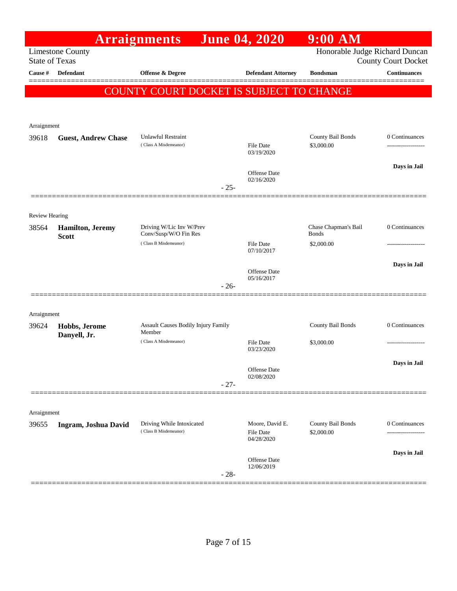|                                |                            | <b>Arraignments</b>                                |        | <b>June 04, 2020</b>              | $9:00$ AM                       |                                     |
|--------------------------------|----------------------------|----------------------------------------------------|--------|-----------------------------------|---------------------------------|-------------------------------------|
| <b>State of Texas</b>          | <b>Limestone County</b>    |                                                    |        |                                   | Honorable Judge Richard Duncan  | <b>County Court Docket</b>          |
| Cause #                        | <b>Defendant</b>           | <b>Offense &amp; Degree</b>                        |        | <b>Defendant Attorney</b>         | <b>Bondsman</b>                 | <b>Continuances</b>                 |
|                                |                            | COUNTY COURT DOCKET IS SUBJECT TO CHANGE           |        |                                   |                                 |                                     |
|                                |                            |                                                    |        |                                   |                                 |                                     |
| Arraignment                    |                            |                                                    |        |                                   |                                 |                                     |
| 39618                          | <b>Guest, Andrew Chase</b> | <b>Unlawful Restraint</b><br>(Class A Misdemeanor) |        | <b>File Date</b>                  | County Bail Bonds<br>\$3,000.00 | 0 Continuances<br>----------------- |
|                                |                            |                                                    |        | 03/19/2020                        |                                 |                                     |
|                                |                            |                                                    |        | <b>Offense Date</b><br>02/16/2020 |                                 | Days in Jail                        |
|                                |                            |                                                    | $-25-$ |                                   |                                 |                                     |
|                                |                            |                                                    |        |                                   |                                 |                                     |
| <b>Review Hearing</b><br>38564 | <b>Hamilton</b> , Jeremy   | Driving W/Lic Inv W/Prev                           |        |                                   | Chase Chapman's Bail            | 0 Continuances                      |
|                                | <b>Scott</b>               | Conv/Susp/W/O Fin Res<br>(Class B Misdemeanor)     |        | <b>File Date</b>                  | <b>Bonds</b><br>\$2,000.00      |                                     |
|                                |                            |                                                    |        | 07/10/2017                        |                                 |                                     |
|                                |                            |                                                    |        | <b>Offense Date</b><br>05/16/2017 |                                 | Days in Jail                        |
|                                |                            |                                                    | $-26-$ |                                   |                                 |                                     |
|                                |                            |                                                    |        |                                   |                                 |                                     |
| Arraignment<br>39624           | Hobbs, Jerome              | Assault Causes Bodily Injury Family                |        |                                   | County Bail Bonds               | 0 Continuances                      |
|                                | Danyell, Jr.               | Member<br>(Class A Misdemeanor)                    |        | <b>File Date</b>                  | \$3,000.00                      | ----------------                    |
|                                |                            |                                                    |        | 03/23/2020                        |                                 |                                     |
|                                |                            |                                                    |        | Offense Date<br>02/08/2020        |                                 | Days in Jail                        |
|                                |                            |                                                    | $-27-$ |                                   |                                 |                                     |
|                                |                            |                                                    |        |                                   |                                 |                                     |
| Arraignment<br>39655           | Ingram, Joshua David       | Driving While Intoxicated                          |        | Moore, David E.                   | County Bail Bonds               | 0 Continuances                      |
|                                |                            | (Class B Misdemeanor)                              |        | <b>File Date</b><br>04/28/2020    | \$2,000.00                      |                                     |
|                                |                            |                                                    |        |                                   |                                 | Days in Jail                        |
|                                |                            |                                                    | $-28-$ | Offense Date<br>12/06/2019        |                                 |                                     |
|                                |                            |                                                    |        |                                   |                                 |                                     |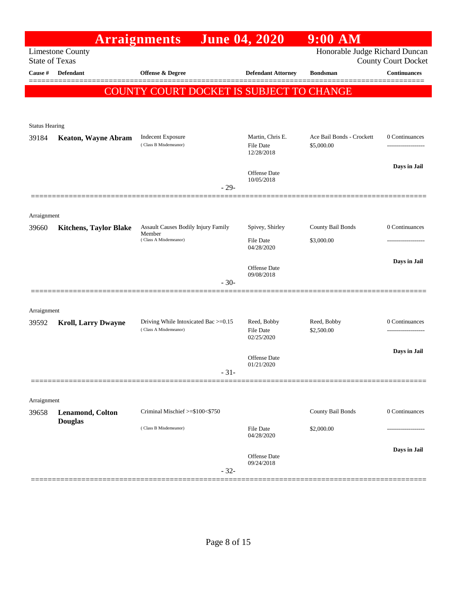|                       |                                           | <b>Arraignments</b>                                                           | <b>June 04, 2020</b>                | $9:00$ AM                               |                                     |
|-----------------------|-------------------------------------------|-------------------------------------------------------------------------------|-------------------------------------|-----------------------------------------|-------------------------------------|
| <b>State of Texas</b> | <b>Limestone County</b>                   |                                                                               |                                     | Honorable Judge Richard Duncan          | <b>County Court Docket</b>          |
| Cause #               | Defendant                                 | Offense & Degree                                                              | <b>Defendant Attorney</b>           | <b>Bondsman</b>                         | <b>Continuances</b>                 |
|                       |                                           | COUNTY COURT DOCKET IS SUBJECT TO CHANGE                                      |                                     |                                         |                                     |
|                       |                                           |                                                                               |                                     |                                         |                                     |
| <b>Status Hearing</b> |                                           |                                                                               |                                     |                                         |                                     |
| 39184                 | <b>Keaton, Wayne Abram</b>                | <b>Indecent Exposure</b><br>(Class B Misdemeanor)                             | Martin, Chris E.                    | Ace Bail Bonds - Crockett<br>\$5,000.00 | 0 Continuances<br>----------------- |
|                       |                                           |                                                                               | <b>File Date</b><br>12/28/2018      |                                         |                                     |
|                       |                                           |                                                                               | Offense Date                        |                                         | Days in Jail                        |
|                       |                                           | $-29-$                                                                        | 10/05/2018                          |                                         |                                     |
|                       |                                           |                                                                               |                                     |                                         |                                     |
| Arraignment           |                                           |                                                                               |                                     |                                         |                                     |
| 39660                 | <b>Kitchens, Taylor Blake</b>             | <b>Assault Causes Bodily Injury Family</b><br>Member<br>(Class A Misdemeanor) | Spivey, Shirley<br><b>File Date</b> | County Bail Bonds<br>\$3,000.00         | 0 Continuances                      |
|                       |                                           |                                                                               | 04/28/2020                          |                                         |                                     |
|                       |                                           |                                                                               | Offense Date                        |                                         | Days in Jail                        |
|                       |                                           | $-30-$                                                                        | 09/08/2018                          |                                         |                                     |
|                       |                                           |                                                                               |                                     |                                         |                                     |
| Arraignment<br>39592  | <b>Kroll, Larry Dwayne</b>                | Driving While Intoxicated Bac >=0.15                                          | Reed, Bobby                         | Reed, Bobby                             | 0 Continuances                      |
|                       |                                           | (Class A Misdemeanor)                                                         | <b>File Date</b><br>02/25/2020      | \$2,500.00                              |                                     |
|                       |                                           |                                                                               |                                     |                                         | Days in Jail                        |
|                       |                                           | $-31-$                                                                        | Offense Date<br>01/21/2020          |                                         |                                     |
|                       |                                           |                                                                               |                                     |                                         |                                     |
| Arraignment           |                                           |                                                                               |                                     |                                         |                                     |
| 39658                 | <b>Lenamond, Colton</b><br><b>Douglas</b> | Criminal Mischief >=\$100<\$750                                               |                                     | County Bail Bonds                       | 0 Continuances                      |
|                       |                                           | (Class B Misdemeanor)                                                         | <b>File Date</b><br>04/28/2020      | \$2,000.00                              |                                     |
|                       |                                           |                                                                               |                                     |                                         | Days in Jail                        |
|                       |                                           |                                                                               | Offense Date<br>09/24/2018          |                                         |                                     |
|                       |                                           | $-32-$                                                                        |                                     |                                         |                                     |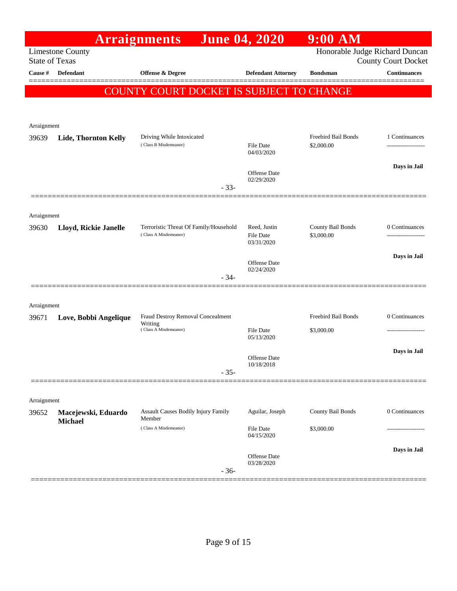|                       |                                       | <b>Arraignments</b>                                             | <b>June 04, 2020</b>                           | $9:00$ AM                       |                            |
|-----------------------|---------------------------------------|-----------------------------------------------------------------|------------------------------------------------|---------------------------------|----------------------------|
| <b>State of Texas</b> | <b>Limestone County</b>               |                                                                 |                                                | Honorable Judge Richard Duncan  | <b>County Court Docket</b> |
| Cause #               | <b>Defendant</b>                      | <b>Offense &amp; Degree</b>                                     | <b>Defendant Attorney</b>                      | <b>Bondsman</b>                 | Continuances               |
|                       |                                       | COUNTY COURT DOCKET IS SUBJECT TO CHANGE                        |                                                |                                 |                            |
|                       |                                       |                                                                 |                                                |                                 |                            |
| Arraignment           |                                       |                                                                 |                                                |                                 |                            |
| 39639                 | Lide, Thornton Kelly                  | Driving While Intoxicated<br>(Class B Misdemeanor)              |                                                | Freebird Bail Bonds             | 1 Continuances             |
|                       |                                       |                                                                 | <b>File Date</b><br>04/03/2020                 | \$2,000.00                      |                            |
|                       |                                       |                                                                 | Offense Date                                   |                                 | Days in Jail               |
|                       |                                       | $-33-$                                                          | 02/29/2020                                     |                                 |                            |
|                       |                                       |                                                                 |                                                |                                 |                            |
| Arraignment           |                                       |                                                                 |                                                |                                 |                            |
| 39630                 | Lloyd, Rickie Janelle                 | Terroristic Threat Of Family/Household<br>(Class A Misdemeanor) | Reed, Justin<br><b>File Date</b><br>03/31/2020 | County Bail Bonds<br>\$3,000.00 | 0 Continuances<br>.        |
|                       |                                       |                                                                 |                                                |                                 | Days in Jail               |
|                       |                                       |                                                                 | <b>Offense Date</b><br>02/24/2020              |                                 |                            |
|                       |                                       | $-34-$                                                          |                                                |                                 |                            |
| Arraignment           |                                       |                                                                 |                                                |                                 |                            |
| 39671                 | Love, Bobbi Angelique                 | Fraud Destroy Removal Concealment<br>Writing                    |                                                | Freebird Bail Bonds             | 0 Continuances             |
|                       |                                       | (Class A Misdemeanor)                                           | <b>File Date</b><br>05/13/2020                 | \$3,000.00                      |                            |
|                       |                                       |                                                                 |                                                |                                 | Days in Jail               |
|                       |                                       | $-35-$                                                          | Offense Date<br>10/18/2018                     |                                 |                            |
|                       |                                       |                                                                 |                                                |                                 |                            |
| Arraignment           |                                       |                                                                 |                                                |                                 |                            |
| 39652                 | Macejewski, Eduardo<br><b>Michael</b> | <b>Assault Causes Bodily Injury Family</b><br>Member            | Aguilar, Joseph                                | County Bail Bonds               | 0 Continuances             |
|                       |                                       | (Class A Misdemeanor)                                           | <b>File Date</b><br>04/15/2020                 | \$3,000.00                      | -----------------          |
|                       |                                       |                                                                 |                                                |                                 | Days in Jail               |
|                       |                                       |                                                                 | Offense Date<br>03/28/2020                     |                                 |                            |
|                       |                                       | $-36-$                                                          |                                                |                                 |                            |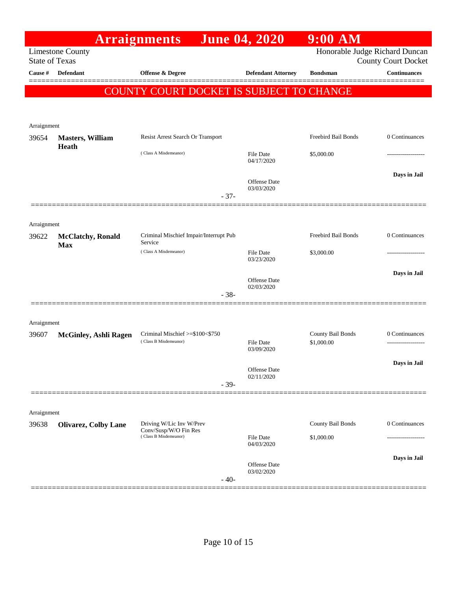|                       |                              | <b>Arraignments</b>                                      |        | <b>June 04, 2020</b>              | $9:00$ AM                       |                                      |
|-----------------------|------------------------------|----------------------------------------------------------|--------|-----------------------------------|---------------------------------|--------------------------------------|
| <b>State of Texas</b> | <b>Limestone County</b>      |                                                          |        |                                   | Honorable Judge Richard Duncan  | <b>County Court Docket</b>           |
| Cause #               | <b>Defendant</b>             | Offense & Degree                                         |        | <b>Defendant Attorney</b>         | <b>Bondsman</b>                 | Continuances                         |
|                       |                              | COUNTY COURT DOCKET IS SUBJECT TO CHANGE                 |        |                                   |                                 | ======                               |
|                       |                              |                                                          |        |                                   |                                 |                                      |
| Arraignment           |                              |                                                          |        |                                   |                                 |                                      |
| 39654                 | <b>Masters, William</b>      | Resist Arrest Search Or Transport                        |        |                                   | Freebird Bail Bonds             | 0 Continuances                       |
|                       | Heath                        | (Class A Misdemeanor)                                    |        | File Date<br>04/17/2020           | \$5,000.00                      |                                      |
|                       |                              |                                                          |        | <b>Offense Date</b><br>03/03/2020 |                                 | Days in Jail                         |
|                       |                              |                                                          | $-37-$ |                                   |                                 |                                      |
| Arraignment           |                              |                                                          |        |                                   |                                 |                                      |
| 39622                 | <b>McClatchy</b> , Ronald    | Criminal Mischief Impair/Interrupt Pub<br>Service        |        |                                   | Freebird Bail Bonds             | 0 Continuances                       |
|                       | <b>Max</b>                   | (Class A Misdemeanor)                                    |        | <b>File Date</b><br>03/23/2020    | \$3,000.00                      |                                      |
|                       |                              |                                                          |        | <b>Offense Date</b>               |                                 | Days in Jail                         |
|                       |                              |                                                          | $-38-$ | 02/03/2020                        |                                 |                                      |
|                       |                              |                                                          |        |                                   |                                 |                                      |
| Arraignment           |                              |                                                          |        |                                   |                                 |                                      |
| 39607                 | <b>McGinley, Ashli Ragen</b> | Criminal Mischief >=\$100<\$750<br>(Class B Misdemeanor) |        | File Date                         | County Bail Bonds<br>\$1,000.00 | 0 Continuances<br>------------------ |
|                       |                              |                                                          |        | 03/09/2020                        |                                 | Days in Jail                         |
|                       |                              |                                                          |        | Offense Date<br>02/11/2020        |                                 |                                      |
|                       |                              |                                                          | $-39-$ |                                   |                                 |                                      |
| Arraignment           |                              |                                                          |        |                                   |                                 |                                      |
| 39638                 | <b>Olivarez, Colby Lane</b>  | Driving W/Lic Inv W/Prev<br>Conv/Susp/W/O Fin Res        |        |                                   | County Bail Bonds               | 0 Continuances                       |
|                       |                              | (Class B Misdemeanor)                                    |        | File Date<br>04/03/2020           | \$1,000.00                      |                                      |
|                       |                              |                                                          |        | Offense Date                      |                                 | Days in Jail                         |
|                       |                              |                                                          | $-40-$ | 03/02/2020                        |                                 |                                      |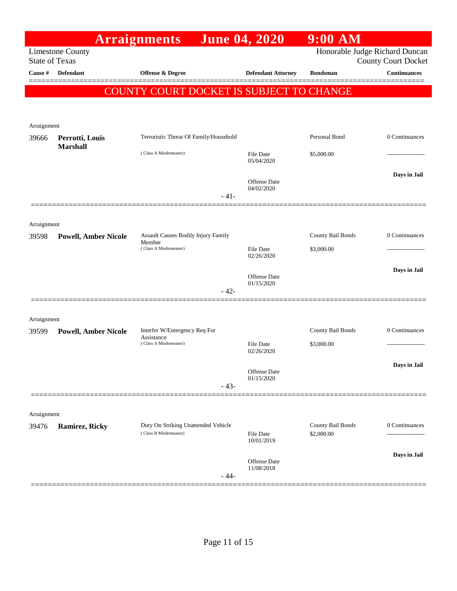|                       |                                    | <b>Arraignments</b>                                          | <b>June 04, 2020</b>           | $9:00$ AM                       |                            |
|-----------------------|------------------------------------|--------------------------------------------------------------|--------------------------------|---------------------------------|----------------------------|
| <b>State of Texas</b> | <b>Limestone County</b>            |                                                              |                                | Honorable Judge Richard Duncan  | <b>County Court Docket</b> |
| Cause #               | Defendant                          | <b>Offense &amp; Degree</b>                                  | <b>Defendant Attorney</b>      | <b>Bondsman</b>                 | <b>Continuances</b>        |
|                       |                                    |                                                              |                                |                                 | ======                     |
|                       |                                    | COUNTY COURT DOCKET IS SUBJECT TO CHANGE                     |                                |                                 |                            |
|                       |                                    |                                                              |                                |                                 |                            |
| Arraignment           |                                    |                                                              |                                |                                 |                            |
| 39666                 | Perrotti, Louis<br><b>Marshall</b> | Terroristic Threat Of Family/Household                       |                                | Personal Bond                   | 0 Continuances             |
|                       |                                    | (Class A Misdemeanor)                                        | File Date<br>05/04/2020        | \$5,000.00                      |                            |
|                       |                                    |                                                              | Offense Date                   |                                 | Days in Jail               |
|                       |                                    | $-41-$                                                       | 04/02/2020                     |                                 |                            |
|                       |                                    |                                                              |                                |                                 |                            |
| Arraignment           |                                    |                                                              |                                |                                 |                            |
| 39598                 | <b>Powell, Amber Nicole</b>        | Assault Causes Bodily Injury Family                          |                                | County Bail Bonds               | 0 Continuances             |
|                       |                                    | Member<br>(Class A Misdemeanor)                              | <b>File Date</b>               | \$3,000.00                      |                            |
|                       |                                    |                                                              | 02/26/2020                     |                                 |                            |
|                       |                                    |                                                              | Offense Date                   |                                 | Days in Jail               |
|                       |                                    | $-42-$                                                       | 01/15/2020                     |                                 |                            |
|                       |                                    |                                                              |                                |                                 |                            |
| Arraignment           |                                    |                                                              |                                |                                 |                            |
| 39599                 | <b>Powell, Amber Nicole</b>        | Interfer W/Emergency Req For<br>Assistance                   |                                | County Bail Bonds               | 0 Continuances             |
|                       |                                    | (Class A Misdemeanor)                                        | <b>File Date</b><br>02/26/2020 | \$3,000.00                      | .                          |
|                       |                                    |                                                              |                                |                                 | Days in Jail               |
|                       |                                    |                                                              | Offense Date<br>01/15/2020     |                                 |                            |
|                       |                                    | $-43-$                                                       |                                |                                 |                            |
|                       |                                    |                                                              |                                |                                 |                            |
| Arraignment           |                                    |                                                              |                                |                                 |                            |
| 39476                 | Ramirez, Ricky                     | Duty On Striking Unattended Vehicle<br>(Class B Misdemeanor) | File Date                      | County Bail Bonds<br>\$2,000.00 | 0 Continuances             |
|                       |                                    |                                                              | 10/01/2019                     |                                 |                            |
|                       |                                    |                                                              | Offense Date                   |                                 | Days in Jail               |
|                       |                                    | $-44-$                                                       | 11/08/2018                     |                                 |                            |
|                       |                                    |                                                              |                                |                                 |                            |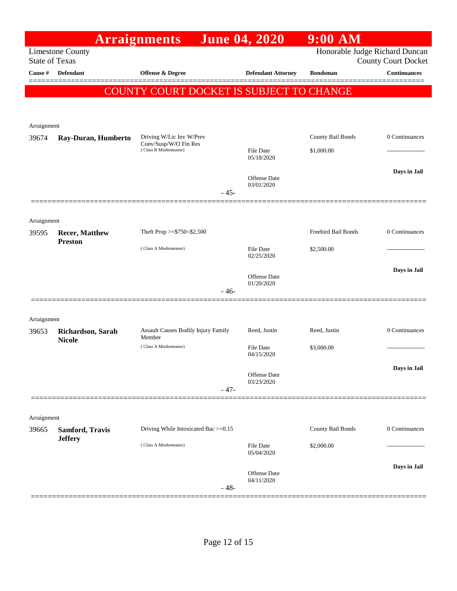|                       |                                         | <b>Arraignments</b>                            | <b>June 04, 2020</b>              | $9:00$ AM                      |                            |
|-----------------------|-----------------------------------------|------------------------------------------------|-----------------------------------|--------------------------------|----------------------------|
| <b>State of Texas</b> | <b>Limestone County</b>                 |                                                |                                   | Honorable Judge Richard Duncan | <b>County Court Docket</b> |
| Cause #               | <b>Defendant</b>                        | <b>Offense &amp; Degree</b>                    | <b>Defendant Attorney</b>         | <b>Bondsman</b>                | Continuances               |
|                       |                                         | COUNTY COURT DOCKET IS SUBJECT TO CHANGE       |                                   |                                |                            |
|                       |                                         |                                                |                                   |                                |                            |
|                       |                                         |                                                |                                   |                                |                            |
| Arraignment<br>39674  | Ray-Duran, Humberto                     | Driving W/Lic Inv W/Prev                       |                                   | County Bail Bonds              | 0 Continuances             |
|                       |                                         | Conv/Susp/W/O Fin Res<br>(Class B Misdemeanor) | File Date                         | \$1,000.00                     |                            |
|                       |                                         |                                                | 05/18/2020                        |                                |                            |
|                       |                                         |                                                | <b>Offense Date</b>               |                                | Days in Jail               |
|                       |                                         | $-45-$                                         | 03/01/2020                        |                                |                            |
|                       |                                         |                                                |                                   |                                |                            |
| Arraignment           |                                         |                                                |                                   |                                |                            |
| 39595                 | <b>Recer, Matthew</b><br><b>Preston</b> | Theft Prop >=\$750<\$2,500                     |                                   | Freebird Bail Bonds            | 0 Continuances             |
|                       |                                         | (Class A Misdemeanor)                          | File Date<br>02/25/2020           | \$2,500.00                     | .                          |
|                       |                                         |                                                |                                   |                                | Days in Jail               |
|                       |                                         |                                                | <b>Offense Date</b><br>01/20/2020 |                                |                            |
|                       |                                         | $-46-$                                         |                                   |                                |                            |
|                       |                                         |                                                |                                   |                                |                            |
| Arraignment           |                                         | Assault Causes Bodily Injury Family            | Reed, Justin                      | Reed, Justin                   | 0 Continuances             |
| 39653                 | Richardson, Sarah<br><b>Nicole</b>      | Member                                         |                                   |                                |                            |
|                       |                                         | (Class A Misdemeanor)                          | File Date<br>04/15/2020           | \$3,000.00                     |                            |
|                       |                                         |                                                | Offense Date                      |                                | Days in Jail               |
|                       |                                         | $-47-$                                         | 03/23/2020                        |                                |                            |
|                       |                                         |                                                |                                   |                                |                            |
| Arraignment           |                                         |                                                |                                   |                                |                            |
| 39665                 | Samford, Travis                         | Driving While Intoxicated Bac >=0.15           |                                   | County Bail Bonds              | 0 Continuances             |
|                       | <b>Jeffery</b>                          | (Class A Misdemeanor)                          | <b>File Date</b>                  | \$2,000.00                     |                            |
|                       |                                         |                                                | 05/04/2020                        |                                |                            |
|                       |                                         |                                                | <b>Offense Date</b>               |                                | Days in Jail               |
|                       |                                         | $-48-$                                         | 04/11/2020                        |                                |                            |
|                       |                                         |                                                |                                   |                                |                            |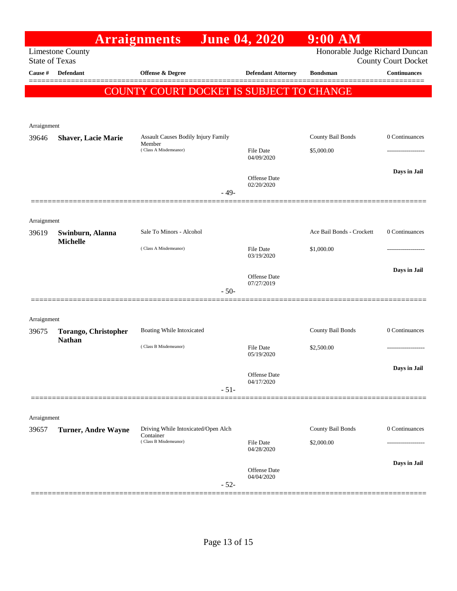|                                                                                                                  |                                       | <b>Arraignments</b>                                                       | <b>June 04, 2020</b>              | $9:00$ AM                 |                |
|------------------------------------------------------------------------------------------------------------------|---------------------------------------|---------------------------------------------------------------------------|-----------------------------------|---------------------------|----------------|
| Honorable Judge Richard Duncan<br><b>Limestone County</b><br><b>State of Texas</b><br><b>County Court Docket</b> |                                       |                                                                           |                                   |                           |                |
| Cause #                                                                                                          | <b>Defendant</b>                      | <b>Offense &amp; Degree</b>                                               | <b>Defendant Attorney</b>         | <b>Bondsman</b>           | Continuances   |
|                                                                                                                  |                                       | COUNTY COURT DOCKET IS SUBJECT TO CHANGE                                  |                                   |                           |                |
| Arraignment                                                                                                      |                                       |                                                                           |                                   |                           |                |
| 39646                                                                                                            | <b>Shaver, Lacie Marie</b>            | Assault Causes Bodily Injury Family                                       |                                   | County Bail Bonds         | 0 Continuances |
|                                                                                                                  |                                       | Member<br>(Class A Misdemeanor)                                           | File Date<br>04/09/2020           | \$5,000.00                |                |
|                                                                                                                  |                                       |                                                                           | <b>Offense Date</b><br>02/20/2020 |                           | Days in Jail   |
|                                                                                                                  |                                       | $-49-$                                                                    |                                   |                           |                |
| Arraignment                                                                                                      |                                       |                                                                           |                                   |                           |                |
| 39619                                                                                                            | Swinburn, Alanna<br><b>Michelle</b>   | Sale To Minors - Alcohol                                                  |                                   | Ace Bail Bonds - Crockett | 0 Continuances |
|                                                                                                                  |                                       | (Class A Misdemeanor)                                                     | <b>File Date</b><br>03/19/2020    | \$1,000.00                | .              |
|                                                                                                                  |                                       |                                                                           | <b>Offense Date</b><br>07/27/2019 |                           | Days in Jail   |
|                                                                                                                  |                                       | $-50-$                                                                    |                                   |                           |                |
| Arraignment                                                                                                      |                                       |                                                                           |                                   |                           |                |
| 39675                                                                                                            | Torango, Christopher<br><b>Nathan</b> | Boating While Intoxicated                                                 |                                   | County Bail Bonds         | 0 Continuances |
|                                                                                                                  |                                       | (Class B Misdemeanor)                                                     | File Date<br>05/19/2020           | \$2,500.00                |                |
|                                                                                                                  |                                       |                                                                           | Offense Date<br>04/17/2020        |                           | Days in Jail   |
|                                                                                                                  |                                       | $-51-$                                                                    |                                   |                           |                |
|                                                                                                                  |                                       |                                                                           |                                   |                           |                |
| Arraignment<br>39657                                                                                             | <b>Turner, Andre Wayne</b>            | Driving While Intoxicated/Open Alch<br>Container<br>(Class B Misdemeanor) |                                   | County Bail Bonds         | 0 Continuances |
|                                                                                                                  |                                       |                                                                           | File Date<br>04/28/2020           | \$2,000.00                |                |
|                                                                                                                  |                                       | $-52-$                                                                    | Offense Date<br>04/04/2020        |                           | Days in Jail   |
|                                                                                                                  |                                       |                                                                           |                                   |                           |                |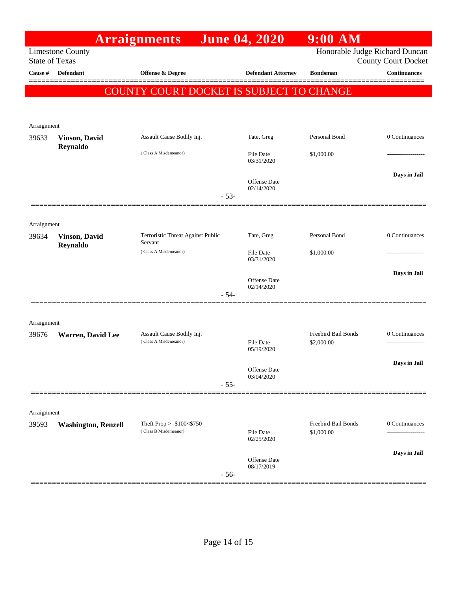|                                                                                    |                            | <b>Arraignments</b>                                 | <b>June 04, 2020</b>              | $9:00$ AM                         |                            |
|------------------------------------------------------------------------------------|----------------------------|-----------------------------------------------------|-----------------------------------|-----------------------------------|----------------------------|
| Honorable Judge Richard Duncan<br><b>Limestone County</b><br><b>State of Texas</b> |                            |                                                     |                                   |                                   | <b>County Court Docket</b> |
| Cause #                                                                            | <b>Defendant</b>           | <b>Offense &amp; Degree</b>                         | <b>Defendant Attorney</b>         | <b>Bondsman</b>                   | <b>Continuances</b>        |
|                                                                                    |                            | COUNTY COURT DOCKET IS SUBJECT TO CHANGE            |                                   |                                   |                            |
|                                                                                    |                            |                                                     |                                   |                                   |                            |
| Arraignment                                                                        |                            |                                                     |                                   |                                   |                            |
| 39633                                                                              | <b>Vinson, David</b>       | Assault Cause Bodily Inj.                           | Tate, Greg                        | Personal Bond                     | 0 Continuances             |
|                                                                                    | Reynaldo                   | (Class A Misdemeanor)                               | <b>File Date</b><br>03/31/2020    | \$1,000.00                        | ----------------           |
|                                                                                    |                            | $-53-$                                              | <b>Offense Date</b><br>02/14/2020 |                                   | Days in Jail               |
|                                                                                    |                            |                                                     |                                   |                                   |                            |
| Arraignment                                                                        |                            |                                                     |                                   |                                   |                            |
| 39634                                                                              | <b>Vinson</b> , David      | Terroristic Threat Against Public                   | Tate, Greg                        | Personal Bond                     | 0 Continuances             |
|                                                                                    | Reynaldo                   | Servant<br>(Class A Misdemeanor)                    | <b>File Date</b><br>03/31/2020    | \$1,000.00                        | ---------------            |
|                                                                                    |                            |                                                     |                                   |                                   | Days in Jail               |
|                                                                                    |                            | $-54-$                                              | Offense Date<br>02/14/2020        |                                   |                            |
|                                                                                    |                            |                                                     |                                   |                                   |                            |
| Arraignment                                                                        |                            |                                                     |                                   |                                   |                            |
| 39676                                                                              | <b>Warren, David Lee</b>   | Assault Cause Bodily Inj.<br>(Class A Misdemeanor)  | File Date                         | Freebird Bail Bonds<br>\$2,000.00 | 0 Continuances             |
|                                                                                    |                            |                                                     | 05/19/2020                        |                                   |                            |
|                                                                                    |                            |                                                     | Offense Date                      |                                   | Days in Jail               |
|                                                                                    |                            | $-55-$                                              | 03/04/2020                        |                                   |                            |
|                                                                                    |                            |                                                     |                                   |                                   |                            |
| Arraignment                                                                        |                            |                                                     |                                   |                                   |                            |
| 39593                                                                              | <b>Washington, Renzell</b> | Theft Prop $>=\$100<\$750$<br>(Class B Misdemeanor) | <b>File Date</b><br>02/25/2020    | Freebird Bail Bonds<br>\$1,000.00 | 0 Continuances             |
|                                                                                    |                            |                                                     | Offense Date                      |                                   | Days in Jail               |
|                                                                                    |                            | $-56-$                                              | 08/17/2019                        |                                   |                            |